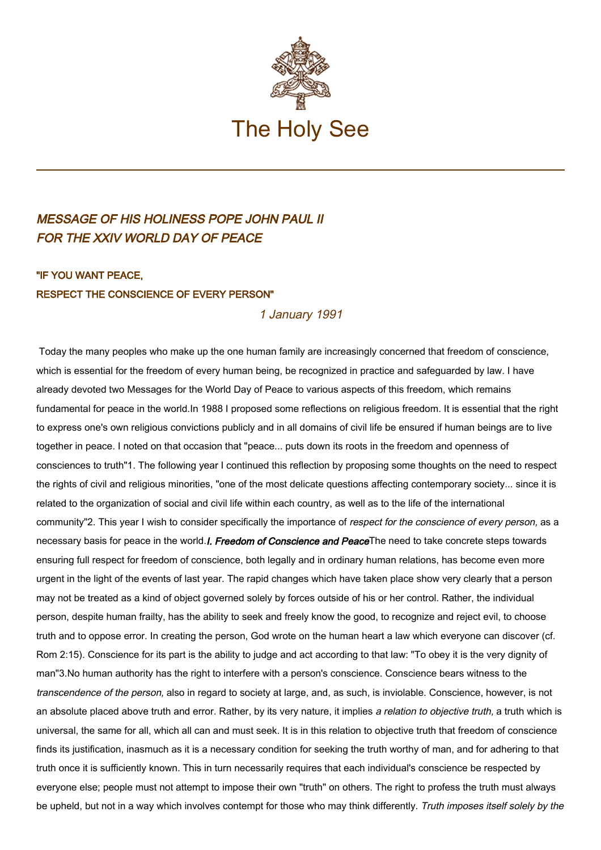

## MESSAGE OF HIS HOLINESS POPE JOHN PAUL II FOR THE XXIV WORLD DAY OF PEACE

## "IF YOU WANT PEACE, RESPECT THE CONSCIENCE OF EVERY PERSON"

## 1 January 1991

Today the many peoples who make up the one human family are increasingly concerned that freedom of conscience, which is essential for the freedom of every human being, be recognized in practice and safeguarded by law. I have already devoted two Messages for the World Day of Peace to various aspects of this freedom, which remains fundamental for peace in the world.In 1988 I proposed some reflections on religious freedom. It is essential that the right to express one's own religious convictions publicly and in all domains of civil life be ensured if human beings are to live together in peace. I noted on that occasion that "peace... puts down its roots in the freedom and openness of consciences to truth"1. The following year I continued this reflection by proposing some thoughts on the need to respect the rights of civil and religious minorities, "one of the most delicate questions affecting contemporary society... since it is related to the organization of social and civil life within each country, as well as to the life of the international community"2. This year I wish to consider specifically the importance of respect for the conscience of every person, as a necessary basis for peace in the world.*I. Freedom of Conscience and Peace*The need to take concrete steps towards ensuring full respect for freedom of conscience, both legally and in ordinary human relations, has become even more urgent in the light of the events of last year. The rapid changes which have taken place show very clearly that a person may not be treated as a kind of object governed solely by forces outside of his or her control. Rather, the individual person, despite human frailty, has the ability to seek and freely know the good, to recognize and reject evil, to choose truth and to oppose error. In creating the person, God wrote on the human heart a law which everyone can discover (cf. Rom 2:15). Conscience for its part is the ability to judge and act according to that law: "To obey it is the very dignity of man"3.No human authority has the right to interfere with a person's conscience. Conscience bears witness to the transcendence of the person, also in regard to society at large, and, as such, is inviolable. Conscience, however, is not an absolute placed above truth and error. Rather, by its very nature, it implies a relation to objective truth, a truth which is universal, the same for all, which all can and must seek. It is in this relation to objective truth that freedom of conscience finds its justification, inasmuch as it is a necessary condition for seeking the truth worthy of man, and for adhering to that truth once it is sufficiently known. This in turn necessarily requires that each individual's conscience be respected by everyone else; people must not attempt to impose their own "truth" on others. The right to profess the truth must always be upheld, but not in a way which involves contempt for those who may think differently. Truth imposes itself solely by the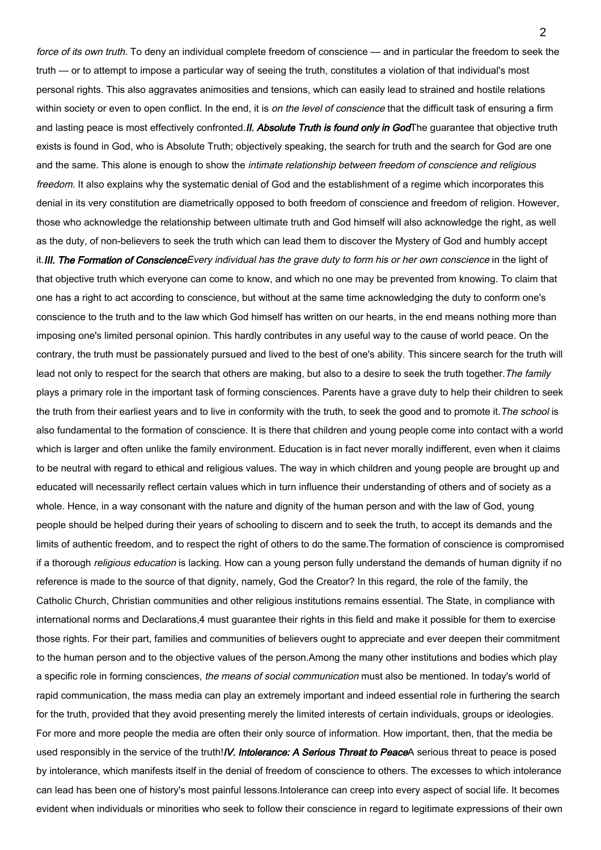force of its own truth. To deny an individual complete freedom of conscience — and in particular the freedom to seek the truth — or to attempt to impose a particular way of seeing the truth, constitutes a violation of that individual's most personal rights. This also aggravates animosities and tensions, which can easily lead to strained and hostile relations within society or even to open conflict. In the end, it is *on the level of conscience* that the difficult task of ensuring a firm and lasting peace is most effectively confronted.II. Absolute Truth is found only in GodThe guarantee that objective truth exists is found in God, who is Absolute Truth; objectively speaking, the search for truth and the search for God are one and the same. This alone is enough to show the intimate relationship between freedom of conscience and religious freedom. It also explains why the systematic denial of God and the establishment of a regime which incorporates this denial in its very constitution are diametrically opposed to both freedom of conscience and freedom of religion. However, those who acknowledge the relationship between ultimate truth and God himself will also acknowledge the right, as well as the duty, of non-believers to seek the truth which can lead them to discover the Mystery of God and humbly accept it. III. The Formation of Conscience Every individual has the grave duty to form his or her own conscience in the light of that objective truth which everyone can come to know, and which no one may be prevented from knowing. To claim that one has a right to act according to conscience, but without at the same time acknowledging the duty to conform one's conscience to the truth and to the law which God himself has written on our hearts, in the end means nothing more than imposing one's limited personal opinion. This hardly contributes in any useful way to the cause of world peace. On the contrary, the truth must be passionately pursued and lived to the best of one's ability. This sincere search for the truth will lead not only to respect for the search that others are making, but also to a desire to seek the truth together. The family plays a primary role in the important task of forming consciences. Parents have a grave duty to help their children to seek the truth from their earliest years and to live in conformity with the truth, to seek the good and to promote it. The school is also fundamental to the formation of conscience. It is there that children and young people come into contact with a world which is larger and often unlike the family environment. Education is in fact never morally indifferent, even when it claims to be neutral with regard to ethical and religious values. The way in which children and young people are brought up and educated will necessarily reflect certain values which in turn influence their understanding of others and of society as a whole. Hence, in a way consonant with the nature and dignity of the human person and with the law of God, young people should be helped during their years of schooling to discern and to seek the truth, to accept its demands and the limits of authentic freedom, and to respect the right of others to do the same.The formation of conscience is compromised if a thorough *religious education* is lacking. How can a young person fully understand the demands of human dignity if no reference is made to the source of that dignity, namely, God the Creator? In this regard, the role of the family, the Catholic Church, Christian communities and other religious institutions remains essential. The State, in compliance with international norms and Declarations,4 must guarantee their rights in this field and make it possible for them to exercise those rights. For their part, families and communities of believers ought to appreciate and ever deepen their commitment to the human person and to the objective values of the person.Among the many other institutions and bodies which play a specific role in forming consciences, the means of social communication must also be mentioned. In today's world of rapid communication, the mass media can play an extremely important and indeed essential role in furthering the search for the truth, provided that they avoid presenting merely the limited interests of certain individuals, groups or ideologies. For more and more people the media are often their only source of information. How important, then, that the media be used responsibly in the service of the truth!*IV. Intolerance: A Serious Threat to Peace*A serious threat to peace is posed by intolerance, which manifests itself in the denial of freedom of conscience to others. The excesses to which intolerance can lead has been one of history's most painful lessons.Intolerance can creep into every aspect of social life. It becomes evident when individuals or minorities who seek to follow their conscience in regard to legitimate expressions of their own

 $\mathfrak{p}$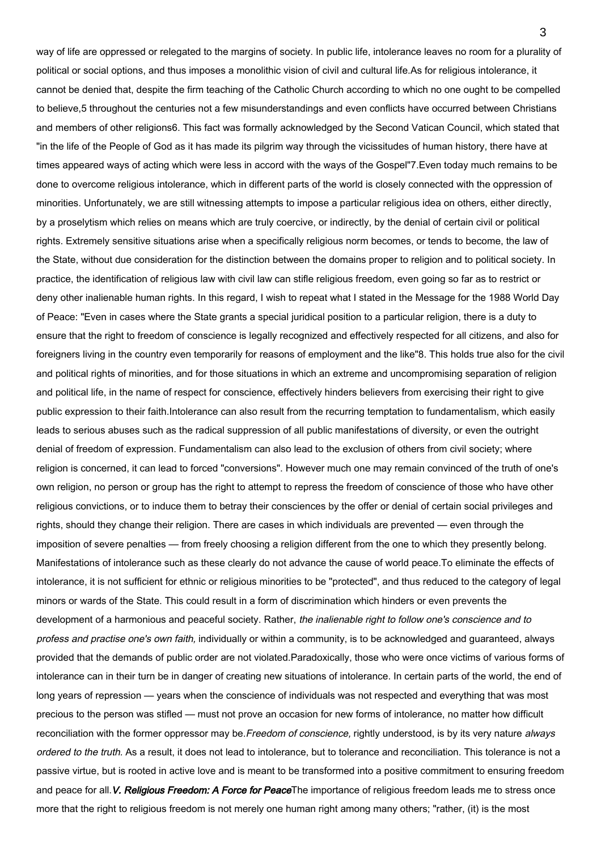way of life are oppressed or relegated to the margins of society. In public life, intolerance leaves no room for a plurality of political or social options, and thus imposes a monolithic vision of civil and cultural life.As for religious intolerance, it cannot be denied that, despite the firm teaching of the Catholic Church according to which no one ought to be compelled to believe,5 throughout the centuries not a few misunderstandings and even conflicts have occurred between Christians and members of other religions6. This fact was formally acknowledged by the Second Vatican Council, which stated that "in the life of the People of God as it has made its pilgrim way through the vicissitudes of human history, there have at times appeared ways of acting which were less in accord with the ways of the Gospel"7.Even today much remains to be done to overcome religious intolerance, which in different parts of the world is closely connected with the oppression of minorities. Unfortunately, we are still witnessing attempts to impose a particular religious idea on others, either directly, by a proselytism which relies on means which are truly coercive, or indirectly, by the denial of certain civil or political rights. Extremely sensitive situations arise when a specifically religious norm becomes, or tends to become, the law of the State, without due consideration for the distinction between the domains proper to religion and to political society. In practice, the identification of religious law with civil law can stifle religious freedom, even going so far as to restrict or deny other inalienable human rights. In this regard, I wish to repeat what I stated in the Message for the 1988 World Day of Peace: "Even in cases where the State grants a special juridical position to a particular religion, there is a duty to ensure that the right to freedom of conscience is legally recognized and effectively respected for all citizens, and also for foreigners living in the country even temporarily for reasons of employment and the like"8. This holds true also for the civil and political rights of minorities, and for those situations in which an extreme and uncompromising separation of religion and political life, in the name of respect for conscience, effectively hinders believers from exercising their right to give public expression to their faith.Intolerance can also result from the recurring temptation to fundamentalism, which easily leads to serious abuses such as the radical suppression of all public manifestations of diversity, or even the outright denial of freedom of expression. Fundamentalism can also lead to the exclusion of others from civil society; where religion is concerned, it can lead to forced "conversions". However much one may remain convinced of the truth of one's own religion, no person or group has the right to attempt to repress the freedom of conscience of those who have other religious convictions, or to induce them to betray their consciences by the offer or denial of certain social privileges and rights, should they change their religion. There are cases in which individuals are prevented — even through the imposition of severe penalties — from freely choosing a religion different from the one to which they presently belong. Manifestations of intolerance such as these clearly do not advance the cause of world peace.To eliminate the effects of intolerance, it is not sufficient for ethnic or religious minorities to be "protected", and thus reduced to the category of legal minors or wards of the State. This could result in a form of discrimination which hinders or even prevents the development of a harmonious and peaceful society. Rather, the inalienable right to follow one's conscience and to profess and practise one's own faith, individually or within a community, is to be acknowledged and guaranteed, always provided that the demands of public order are not violated.Paradoxically, those who were once victims of various forms of intolerance can in their turn be in danger of creating new situations of intolerance. In certain parts of the world, the end of long years of repression — years when the conscience of individuals was not respected and everything that was most precious to the person was stifled — must not prove an occasion for new forms of intolerance, no matter how difficult reconciliation with the former oppressor may be. Freedom of conscience, rightly understood, is by its very nature always ordered to the truth. As a result, it does not lead to intolerance, but to tolerance and reconciliation. This tolerance is not a passive virtue, but is rooted in active love and is meant to be transformed into a positive commitment to ensuring freedom and peace for all. V. Religious Freedom: A Force for PeaceThe importance of religious freedom leads me to stress once more that the right to religious freedom is not merely one human right among many others; "rather, (it) is the most

3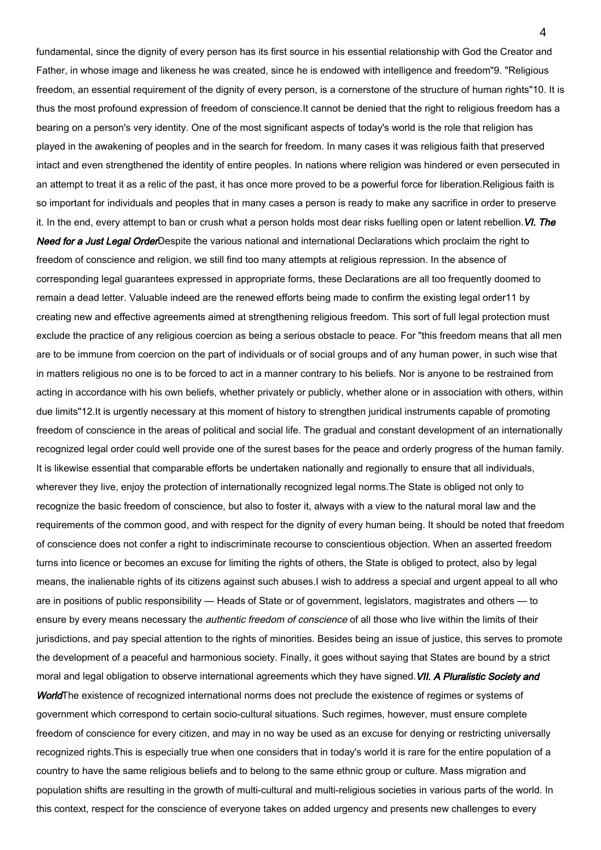fundamental, since the dignity of every person has its first source in his essential relationship with God the Creator and Father, in whose image and likeness he was created, since he is endowed with intelligence and freedom"9. "Religious freedom, an essential requirement of the dignity of every person, is a cornerstone of the structure of human rights"10. It is thus the most profound expression of freedom of conscience.It cannot be denied that the right to religious freedom has a bearing on a person's very identity. One of the most significant aspects of today's world is the role that religion has played in the awakening of peoples and in the search for freedom. In many cases it was religious faith that preserved intact and even strengthened the identity of entire peoples. In nations where religion was hindered or even persecuted in an attempt to treat it as a relic of the past, it has once more proved to be a powerful force for liberation.Religious faith is so important for individuals and peoples that in many cases a person is ready to make any sacrifice in order to preserve it. In the end, every attempt to ban or crush what a person holds most dear risks fuelling open or latent rebellion. VI. The

Need for a Just Legal OrderDespite the various national and international Declarations which proclaim the right to freedom of conscience and religion, we still find too many attempts at religious repression. In the absence of corresponding legal guarantees expressed in appropriate forms, these Declarations are all too frequently doomed to remain a dead letter. Valuable indeed are the renewed efforts being made to confirm the existing legal order11 by creating new and effective agreements aimed at strengthening religious freedom. This sort of full legal protection must exclude the practice of any religious coercion as being a serious obstacle to peace. For "this freedom means that all men are to be immune from coercion on the part of individuals or of social groups and of any human power, in such wise that in matters religious no one is to be forced to act in a manner contrary to his beliefs. Nor is anyone to be restrained from acting in accordance with his own beliefs, whether privately or publicly, whether alone or in association with others, within due limits"12.It is urgently necessary at this moment of history to strengthen juridical instruments capable of promoting freedom of conscience in the areas of political and social life. The gradual and constant development of an internationally recognized legal order could well provide one of the surest bases for the peace and orderly progress of the human family. It is likewise essential that comparable efforts be undertaken nationally and regionally to ensure that all individuals, wherever they live, enjoy the protection of internationally recognized legal norms.The State is obliged not only to recognize the basic freedom of conscience, but also to foster it, always with a view to the natural moral law and the requirements of the common good, and with respect for the dignity of every human being. It should be noted that freedom of conscience does not confer a right to indiscriminate recourse to conscientious objection. When an asserted freedom turns into licence or becomes an excuse for limiting the rights of others, the State is obliged to protect, also by legal means, the inalienable rights of its citizens against such abuses.I wish to address a special and urgent appeal to all who are in positions of public responsibility — Heads of State or of government, legislators, magistrates and others — to ensure by every means necessary the *authentic freedom of conscience* of all those who live within the limits of their jurisdictions, and pay special attention to the rights of minorities. Besides being an issue of justice, this serves to promote the development of a peaceful and harmonious society. Finally, it goes without saying that States are bound by a strict moral and legal obligation to observe international agreements which they have signed. VII. A Pluralistic Society and WorldThe existence of recognized international norms does not preclude the existence of regimes or systems of government which correspond to certain socio-cultural situations. Such regimes, however, must ensure complete freedom of conscience for every citizen, and may in no way be used as an excuse for denying or restricting universally recognized rights.This is especially true when one considers that in today's world it is rare for the entire population of a country to have the same religious beliefs and to belong to the same ethnic group or culture. Mass migration and population shifts are resulting in the growth of multi-cultural and multi-religious societies in various parts of the world. In this context, respect for the conscience of everyone takes on added urgency and presents new challenges to every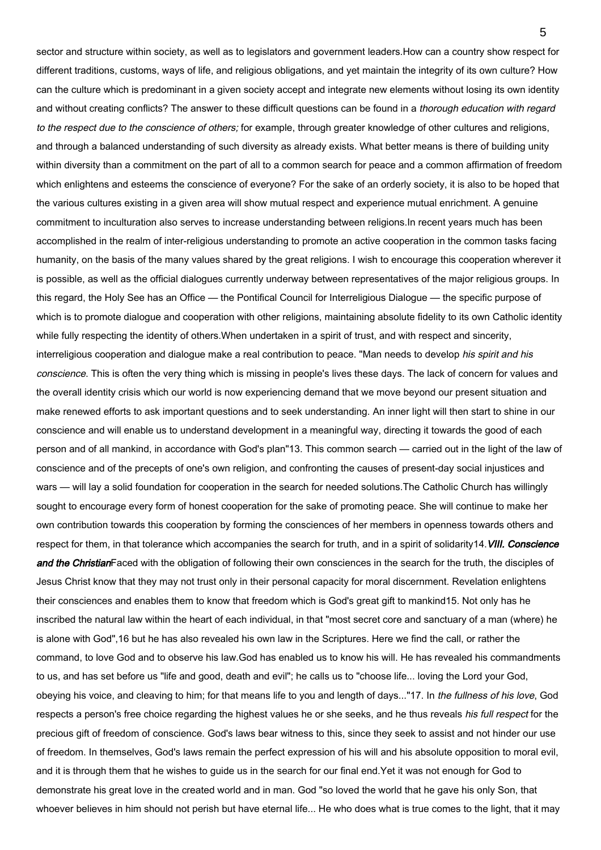sector and structure within society, as well as to legislators and government leaders.How can a country show respect for different traditions, customs, ways of life, and religious obligations, and yet maintain the integrity of its own culture? How can the culture which is predominant in a given society accept and integrate new elements without losing its own identity and without creating conflicts? The answer to these difficult questions can be found in a thorough education with regard to the respect due to the conscience of others; for example, through greater knowledge of other cultures and religions, and through a balanced understanding of such diversity as already exists. What better means is there of building unity within diversity than a commitment on the part of all to a common search for peace and a common affirmation of freedom which enlightens and esteems the conscience of everyone? For the sake of an orderly society, it is also to be hoped that the various cultures existing in a given area will show mutual respect and experience mutual enrichment. A genuine commitment to inculturation also serves to increase understanding between religions.In recent years much has been accomplished in the realm of inter-religious understanding to promote an active cooperation in the common tasks facing humanity, on the basis of the many values shared by the great religions. I wish to encourage this cooperation wherever it is possible, as well as the official dialogues currently underway between representatives of the major religious groups. In this regard, the Holy See has an Office — the Pontifical Council for Interreligious Dialogue — the specific purpose of which is to promote dialogue and cooperation with other religions, maintaining absolute fidelity to its own Catholic identity while fully respecting the identity of others. When undertaken in a spirit of trust, and with respect and sincerity, interreligious cooperation and dialogue make a real contribution to peace. "Man needs to develop his spirit and his conscience. This is often the very thing which is missing in people's lives these days. The lack of concern for values and the overall identity crisis which our world is now experiencing demand that we move beyond our present situation and make renewed efforts to ask important questions and to seek understanding. An inner light will then start to shine in our conscience and will enable us to understand development in a meaningful way, directing it towards the good of each person and of all mankind, in accordance with God's plan"13. This common search — carried out in the light of the law of conscience and of the precepts of one's own religion, and confronting the causes of present-day social injustices and wars — will lay a solid foundation for cooperation in the search for needed solutions.The Catholic Church has willingly sought to encourage every form of honest cooperation for the sake of promoting peace. She will continue to make her own contribution towards this cooperation by forming the consciences of her members in openness towards others and respect for them, in that tolerance which accompanies the search for truth, and in a spirit of solidarity14. VIII. Conscience and the ChristianFaced with the obligation of following their own consciences in the search for the truth, the disciples of Jesus Christ know that they may not trust only in their personal capacity for moral discernment. Revelation enlightens their consciences and enables them to know that freedom which is God's great gift to mankind15. Not only has he inscribed the natural law within the heart of each individual, in that "most secret core and sanctuary of a man (where) he is alone with God",16 but he has also revealed his own law in the Scriptures. Here we find the call, or rather the command, to love God and to observe his law.God has enabled us to know his will. He has revealed his commandments to us, and has set before us "life and good, death and evil"; he calls us to "choose life... loving the Lord your God, obeying his voice, and cleaving to him; for that means life to you and length of days..."17. In the fullness of his love, God respects a person's free choice regarding the highest values he or she seeks, and he thus reveals his full respect for the precious gift of freedom of conscience. God's laws bear witness to this, since they seek to assist and not hinder our use of freedom. In themselves, God's laws remain the perfect expression of his will and his absolute opposition to moral evil, and it is through them that he wishes to guide us in the search for our final end.Yet it was not enough for God to demonstrate his great love in the created world and in man. God "so loved the world that he gave his only Son, that whoever believes in him should not perish but have eternal life... He who does what is true comes to the light, that it may

5